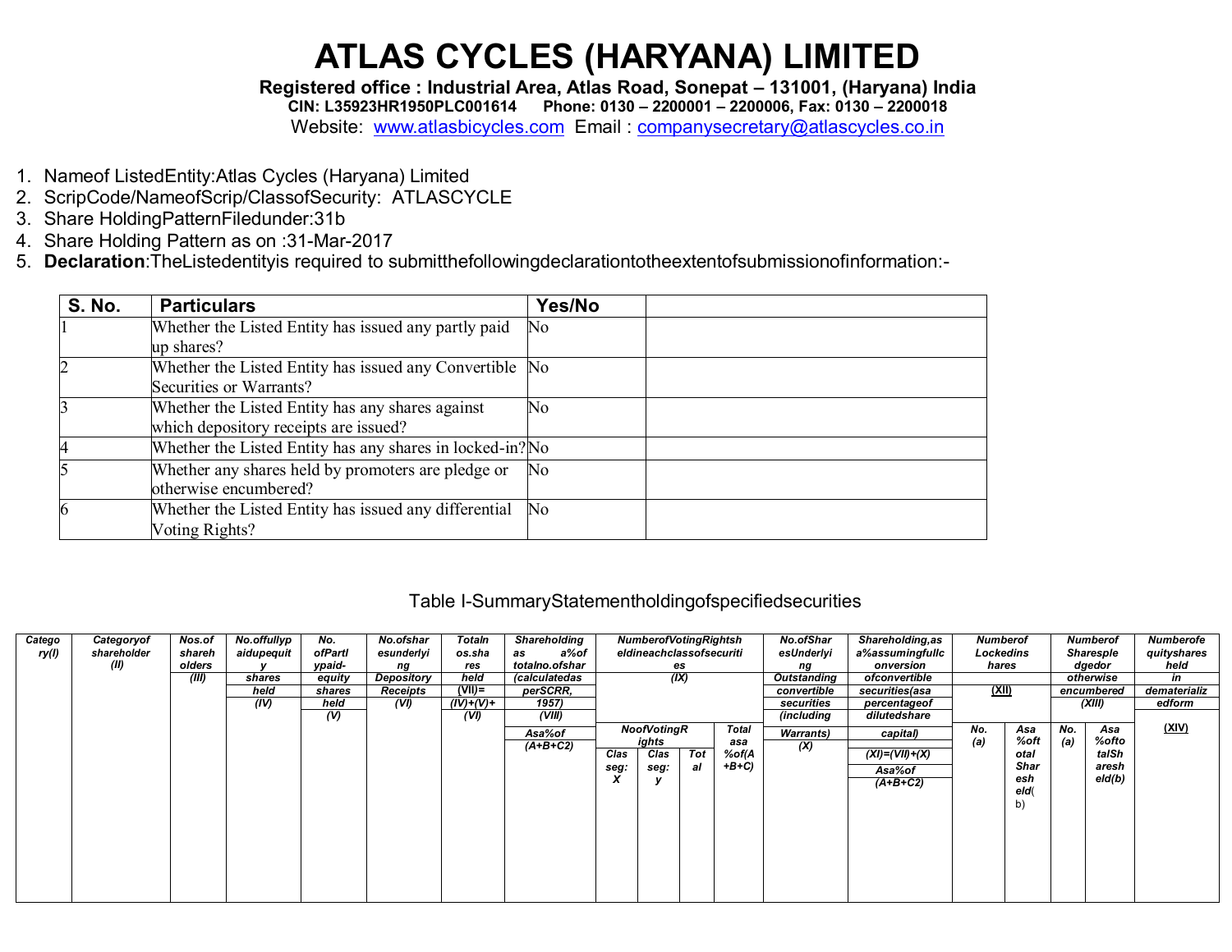Registered office : Industrial Area, Atlas Road, Sonepat - 131001, (Haryana) India CIN: L35923HR1950PLC001614 Phone: 0130 - 2200001 - 2200006, Fax: 0130 - 2200018 Website: www.atlasbicycles.com Email: companysecretary@atlascycles.co.in

- 1. Nameof ListedEntity: Atlas Cycles (Haryana) Limited
- 2. ScripCode/NameofScrip/ClassofSecurity: ATLASCYCLE
- 3. Share HoldingPatternFiledunder:31b
- 4. Share Holding Pattern as on :31-Mar-2017
- 5. Declaration: The Listedentity is required to submitthe following declaration to the extent of submission of information:-

| <b>S. No.</b> | <b>Particulars</b>                                                                        | Yes/No |
|---------------|-------------------------------------------------------------------------------------------|--------|
|               | Whether the Listed Entity has issued any partly paid<br>up shares?                        | No.    |
|               | Whether the Listed Entity has issued any Convertible No<br>Securities or Warrants?        |        |
|               | Whether the Listed Entity has any shares against<br>which depository receipts are issued? | No     |
|               | Whether the Listed Entity has any shares in locked-in? No                                 |        |
|               | Whether any shares held by promoters are pledge or<br>otherwise encumbered?               | No     |
| 6             | Whether the Listed Entity has issued any differential<br>Voting Rights?                   | No     |

#### Table I-SummaryStatementholdingofspecifiedsecurities

| Catego<br>ry(1) | Categoryof<br>shareholder<br>(II) | Nos.of<br>shareh<br>olders<br>(III) | No.offullyp<br>aidupequit<br>shares<br>held<br>(IV) | No.<br>ofPartl<br>ypaid-<br>equity<br>shares<br>held | No.ofshar<br>esunderlyi<br>ng<br>Depository<br>Receipts<br>(VI) | Totaln<br>os.sha<br>res<br>held<br>$(VII)$ =<br>$(IV)+(V)+$ | Shareholding<br>a%of<br>as<br>totalno.ofshar<br>(calculatedas<br>perSCRR,<br>1957) |              | <b>NumberofVotingRightsh</b><br>eldineachclassofsecuriti<br>(IX) | es        |                                 | No.ofShar<br>esUnderlyi<br>ng<br>Outstanding<br>convertible<br>securities | <b>Shareholding, as</b><br>a%assumingfullc<br>onversion<br>ofconvertible<br>securities(asa<br>percentageof | <b>Numberof</b><br>Lockedins<br>hares<br>(XII) |                                                  |            | Numberof<br>Sharesple<br>dgedor<br>otherwise<br>encumbered<br>(XIII) | Numberofe<br>quityshares<br>held<br>in<br>dematerializ<br>edform |
|-----------------|-----------------------------------|-------------------------------------|-----------------------------------------------------|------------------------------------------------------|-----------------------------------------------------------------|-------------------------------------------------------------|------------------------------------------------------------------------------------|--------------|------------------------------------------------------------------|-----------|---------------------------------|---------------------------------------------------------------------------|------------------------------------------------------------------------------------------------------------|------------------------------------------------|--------------------------------------------------|------------|----------------------------------------------------------------------|------------------------------------------------------------------|
|                 |                                   |                                     |                                                     | $\overline{v}$                                       |                                                                 | (VI)                                                        | (VIII)<br>Asa%of<br>$(A+B+C2)$                                                     | Clas<br>seg: | NoofVotingR<br>ights<br>Clas<br>seg:                             | Tot<br>al | Total<br>asa<br>%of(A<br>$+B+C$ | (including<br><b>Warrants</b> )<br>(X)                                    | dilutedshare<br>capital)<br>$(XI) = (VII) + (X)$<br>Asa%of<br>$(A+B+C2)$                                   | No.<br>(a)                                     | Asa<br>%oft<br>otal<br>Shar<br>esh<br>eld(<br>b) | No.<br>(a) | Asa<br>%ofto<br>taISh<br>aresh<br>eld(b)                             | (XIV)                                                            |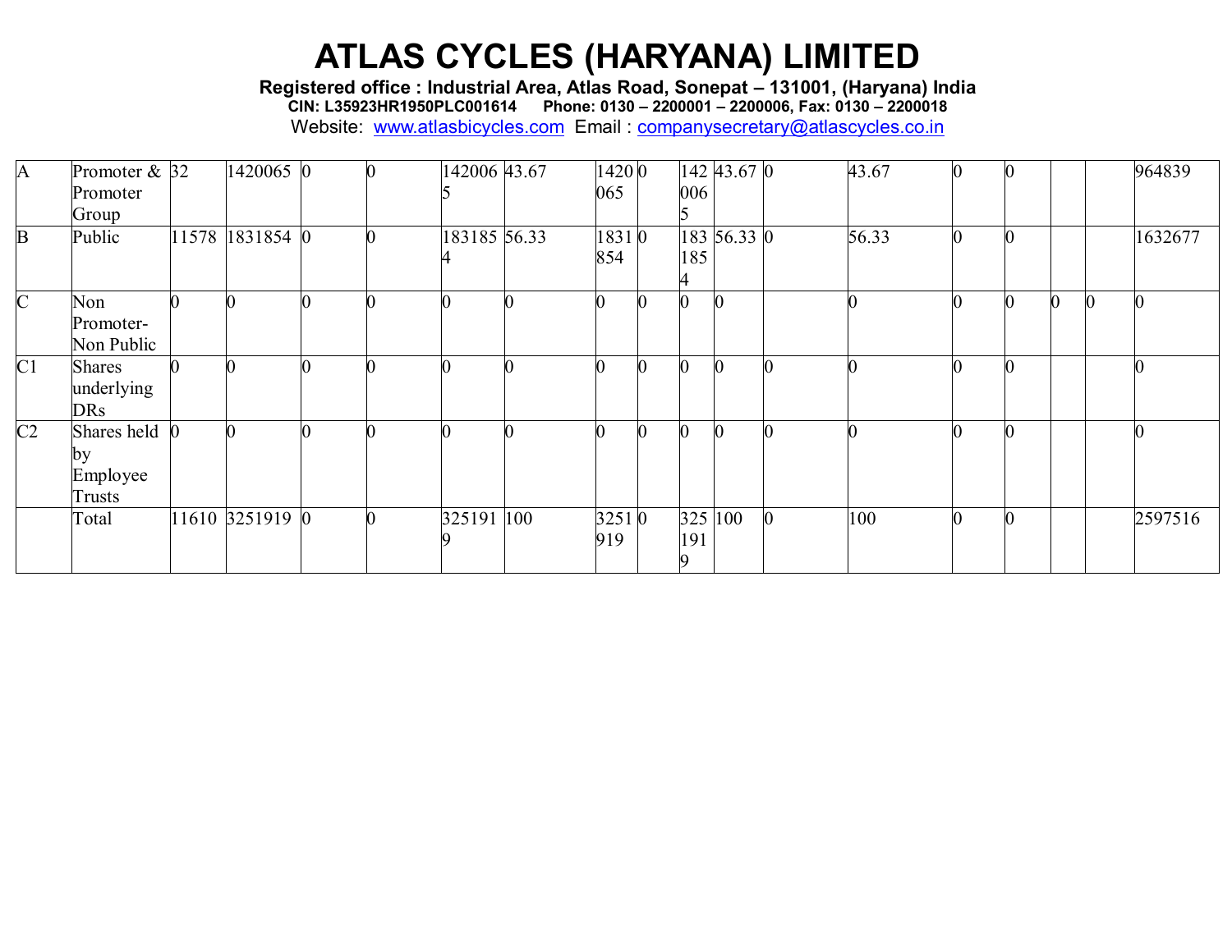**Registered office : Industrial Area, Atlas Road, Sonepat – 131001, (Haryana) India**

**CIN: L35923HR1950PLC001614 Phone: 0130 – 2200001 – 2200006, Fax: 0130 – 2200018**

| A              | Promoter $& 32$<br>Promoter<br>Group      | 1420065 0       |  | 142006 43.67 | 1420 0<br>065 | 006 | $142$ 43.67 0 | 43.67 |   |                |  | 964839  |
|----------------|-------------------------------------------|-----------------|--|--------------|---------------|-----|---------------|-------|---|----------------|--|---------|
| B              | Public                                    | 11578 1831854 0 |  | 183185 56.33 | 18310<br>854  | 185 | 183 56.33 0   | 56.33 | 0 | $\overline{0}$ |  | 1632677 |
| $\overline{C}$ | Non<br>Promoter-<br>Non Public            |                 |  |              |               |     |               |       |   |                |  |         |
| C1             | <b>Shares</b><br>underlying<br><b>DRs</b> |                 |  |              |               |     |               |       |   |                |  |         |
| C2             | Shares held<br>by<br>Employee<br>Trusts   |                 |  |              |               |     |               |       |   |                |  |         |
|                | Total                                     | 11610 3251919 0 |  | 325191 100   | 32510<br>919  | 191 | 325 100       | 100   |   |                |  | 2597516 |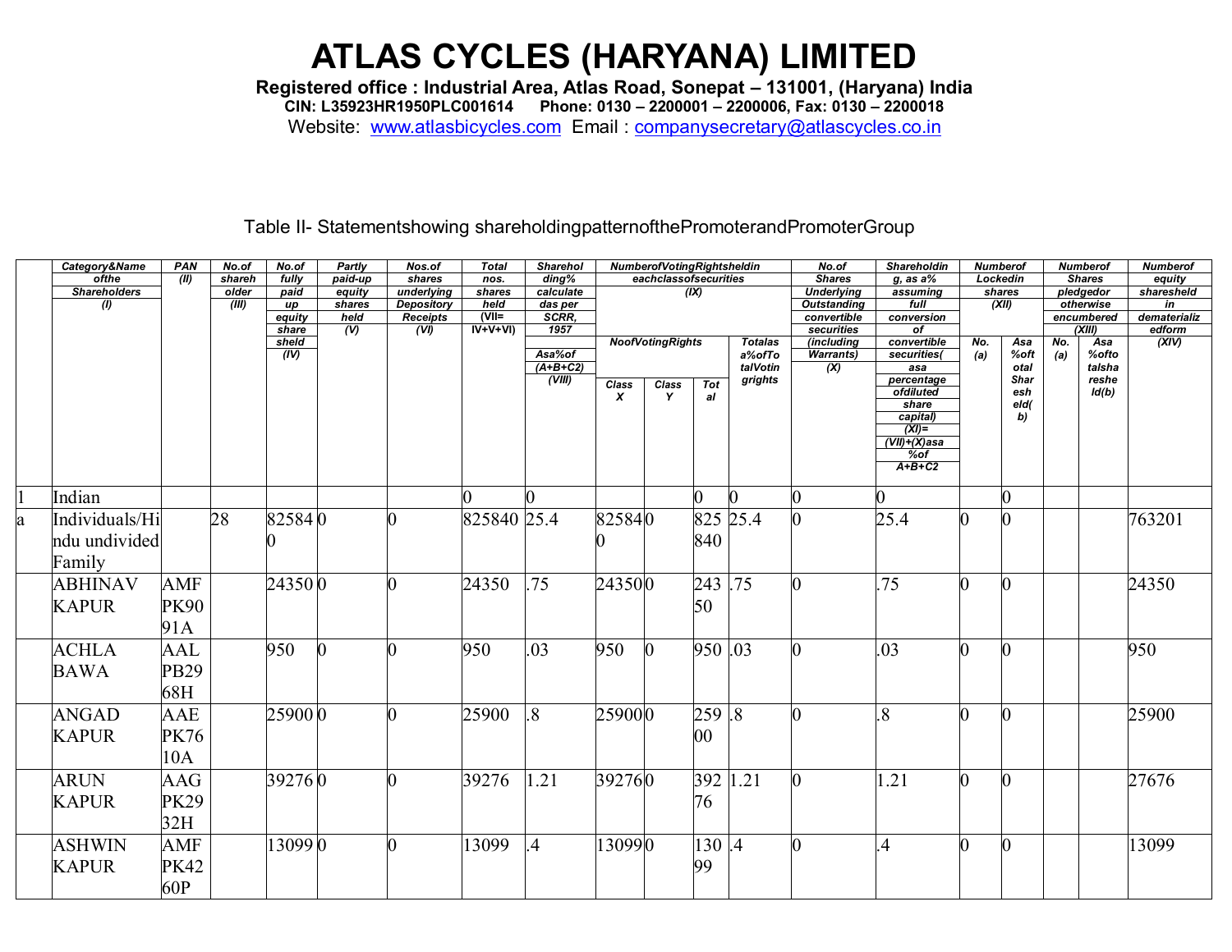**Registered office : Industrial Area, Atlas Road, Sonepat – 131001, (Haryana) India**

**CIN: L35923HR1950PLC001614 Phone: 0130 – 2200001 – 2200006, Fax: 0130 – 2200018**

Website: [www.atlasbicycles.com](http://www.atlasbicycles.com/) Email : [companysecretary@atlascycles.co.in](mailto:companysecretary@atlascycles.co.in)

#### Table II- Statementshowing shareholdingpatternofthePromoterandPromoterGroup

|   | Category&Name       | PAN         | No.of  | No.of             | Partly                            | Nos.of                  | <b>Total</b>                               | <b>Sharehol</b> |              | <b>NumberofVotingRightsheldin</b> |            |                | No.of                     | <b>Shareholdin</b>      | <b>Numberof</b> |             |     | <b>Numberof</b>      | <b>Numberof</b>        |
|---|---------------------|-------------|--------|-------------------|-----------------------------------|-------------------------|--------------------------------------------|-----------------|--------------|-----------------------------------|------------|----------------|---------------------------|-------------------------|-----------------|-------------|-----|----------------------|------------------------|
|   | ofthe               | (11)        | shareh | fully             | paid-up                           | shares                  | nos.                                       | ding%           |              | eachclassofsecurities             |            |                | <b>Shares</b>             | $q$ , as a $%$          |                 | Lockedin    |     | <b>Shares</b>        | equity                 |
|   | <b>Shareholders</b> |             | older  | paid              | equity                            | underlying              | shares                                     | calculate       |              |                                   | (IX)       |                | <b>Underlying</b>         | assuming                |                 | shares      |     | pledgedor            | sharesheld             |
|   | (1)                 |             | (III)  | up                | shares                            | <b>Depository</b>       | held                                       | das per         |              |                                   |            |                | <b>Outstanding</b>        | full                    |                 | (XII)       |     | otherwise            | in                     |
|   |                     |             |        | equity<br>share   | held<br>$\overline{(\mathsf{V})}$ | <b>Receipts</b><br>(VI) | $\overline{V}$ $\overline{V}$<br>$IV+V+VI$ | SCRR,<br>1957   |              |                                   |            |                | convertible<br>securities | conversion<br>of        |                 |             |     | encumbered<br>(XIII) | dematerializ<br>edform |
|   |                     |             |        | sheld             |                                   |                         |                                            |                 |              | <b>NoofVotingRights</b>           |            | <b>Totalas</b> | (including                | convertible             | No.             | Asa         | No. | Asa                  | (XIV)                  |
|   |                     |             |        | $\overline{(IV)}$ |                                   |                         |                                            | Asa%of          |              |                                   |            | a%ofTo         | <b>Warrants</b> )         | securities(             | (a)             | %oft        | (a) | %ofto                |                        |
|   |                     |             |        |                   |                                   |                         |                                            | $(A+B+C2)$      |              |                                   |            | talVotin       | $\infty$                  | asa                     |                 | otal        |     | talsha               |                        |
|   |                     |             |        |                   |                                   |                         |                                            | (VIII)          | <b>Class</b> | <b>Class</b>                      | <b>Tot</b> | grights        |                           | percentage<br>ofdiluted |                 | <b>Shar</b> |     | reshe                |                        |
|   |                     |             |        |                   |                                   |                         |                                            |                 | X            | Y                                 | al         |                |                           | share                   |                 | esh<br>eld( |     | Id(b)                |                        |
|   |                     |             |        |                   |                                   |                         |                                            |                 |              |                                   |            |                |                           | capital)                |                 | b)          |     |                      |                        |
|   |                     |             |        |                   |                                   |                         |                                            |                 |              |                                   |            |                |                           | $(XI)$ =                |                 |             |     |                      |                        |
|   |                     |             |        |                   |                                   |                         |                                            |                 |              |                                   |            |                |                           | (VII)+(X)asa            |                 |             |     |                      |                        |
|   |                     |             |        |                   |                                   |                         |                                            |                 |              |                                   |            |                |                           | $%$ of<br>$A+B+C2$      |                 |             |     |                      |                        |
|   |                     |             |        |                   |                                   |                         |                                            |                 |              |                                   |            |                |                           |                         |                 |             |     |                      |                        |
|   | Indian              |             |        |                   |                                   |                         |                                            |                 |              |                                   |            |                |                           | O.                      |                 | 0           |     |                      |                        |
| a | Individuals/Hi      |             | 28     | 825840            |                                   |                         | 825840 25.4                                |                 | 825840       |                                   |            | 825 25.4       |                           | 25.4                    | ∩               |             |     |                      | 763201                 |
|   | ndu undivided       |             |        |                   |                                   |                         |                                            |                 |              |                                   | 840        |                |                           |                         |                 |             |     |                      |                        |
|   |                     |             |        |                   |                                   |                         |                                            |                 |              |                                   |            |                |                           |                         |                 |             |     |                      |                        |
|   | Family              |             |        |                   |                                   |                         |                                            |                 |              |                                   |            |                |                           |                         |                 |             |     |                      |                        |
|   | <b>ABHINAV</b>      | <b>AMF</b>  |        | 243500            |                                   |                         | 24350                                      | 75              | 243500       |                                   | 243        | .75            |                           | .75                     | n               |             |     |                      | 24350                  |
|   | <b>KAPUR</b>        | <b>PK90</b> |        |                   |                                   |                         |                                            |                 |              |                                   | 50         |                |                           |                         |                 |             |     |                      |                        |
|   |                     |             |        |                   |                                   |                         |                                            |                 |              |                                   |            |                |                           |                         |                 |             |     |                      |                        |
|   |                     | 91A         |        |                   |                                   |                         |                                            |                 |              |                                   |            |                |                           |                         |                 |             |     |                      |                        |
|   | <b>ACHLA</b>        | AAL         |        | 950               |                                   |                         | 950                                        | .03             | 950          | $\mathbf{0}$                      | 950 .03    |                |                           | .03                     | ∩               |             |     |                      | 950                    |
|   | <b>BAWA</b>         | <b>PB29</b> |        |                   |                                   |                         |                                            |                 |              |                                   |            |                |                           |                         |                 |             |     |                      |                        |
|   |                     |             |        |                   |                                   |                         |                                            |                 |              |                                   |            |                |                           |                         |                 |             |     |                      |                        |
|   |                     | 68H         |        |                   |                                   |                         |                                            |                 |              |                                   |            |                |                           |                         |                 |             |     |                      |                        |
|   | <b>ANGAD</b>        | AAE         |        | 259000            |                                   |                         | 25900                                      | 8               | 259000       |                                   | 259        | .8             |                           | $\overline{8}$          |                 |             |     |                      | 25900                  |
|   |                     |             |        |                   |                                   |                         |                                            |                 |              |                                   |            |                |                           |                         |                 |             |     |                      |                        |
|   | <b>KAPUR</b>        | PK76        |        |                   |                                   |                         |                                            |                 |              |                                   | $00\,$     |                |                           |                         |                 |             |     |                      |                        |
|   |                     | 10A         |        |                   |                                   |                         |                                            |                 |              |                                   |            |                |                           |                         |                 |             |     |                      |                        |
|   | <b>ARUN</b>         | AAG         |        | 392760            |                                   |                         | 39276                                      | 1.21            | 392760       |                                   | 392        | 1.21           |                           | 1.21                    | ∩               |             |     |                      | 27676                  |
|   |                     |             |        |                   |                                   |                         |                                            |                 |              |                                   |            |                |                           |                         |                 |             |     |                      |                        |
|   | <b>KAPUR</b>        | <b>PK29</b> |        |                   |                                   |                         |                                            |                 |              |                                   | 76         |                |                           |                         |                 |             |     |                      |                        |
|   |                     | 32H         |        |                   |                                   |                         |                                            |                 |              |                                   |            |                |                           |                         |                 |             |     |                      |                        |
|   | <b>ASHWIN</b>       | <b>AMF</b>  |        | 13099 0           |                                   |                         | 13099                                      | $\overline{A}$  | 130990       |                                   | 130.4      |                |                           | .4                      | n               |             |     |                      | 13099                  |
|   | <b>KAPUR</b>        | <b>PK42</b> |        |                   |                                   |                         |                                            |                 |              |                                   | 99         |                |                           |                         |                 |             |     |                      |                        |
|   |                     |             |        |                   |                                   |                         |                                            |                 |              |                                   |            |                |                           |                         |                 |             |     |                      |                        |
|   |                     | 60P         |        |                   |                                   |                         |                                            |                 |              |                                   |            |                |                           |                         |                 |             |     |                      |                        |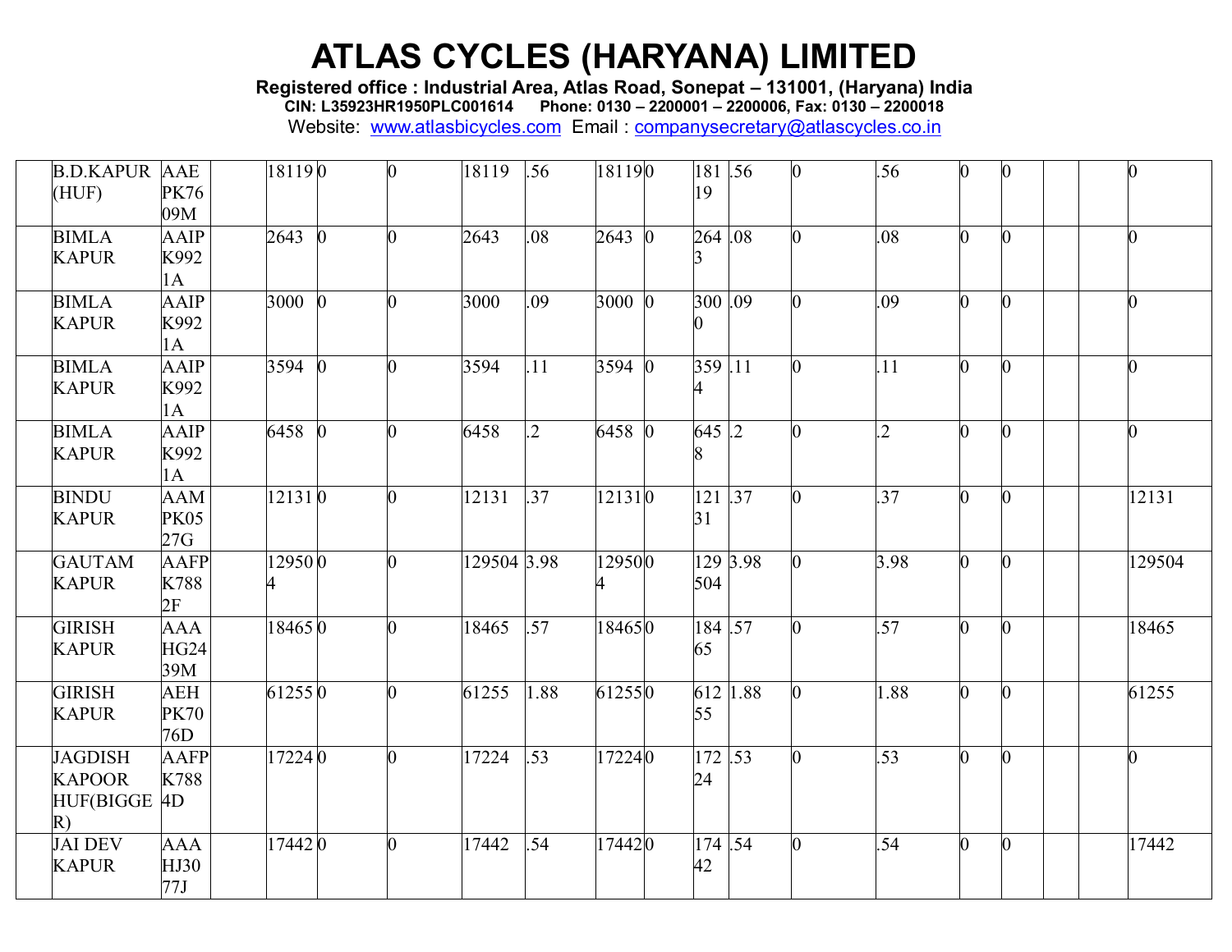**Registered office : Industrial Area, Atlas Road, Sonepat – 131001, (Haryana) India**

**CIN: L35923HR1950PLC001614 Phone: 0130 – 2200001 – 2200006, Fax: 0130 – 2200018**

| <b>B.D.KAPUR AAE</b><br>HUF)                          | <b>PK76</b><br>09M               | 181190                 | $\bf{0}$ | 18119 | .56              | 181190 | 19                         | 181.56    | $\bf{0}$ | .56            | $\mathbf{0}$     |        |
|-------------------------------------------------------|----------------------------------|------------------------|----------|-------|------------------|--------|----------------------------|-----------|----------|----------------|------------------|--------|
| <b>BIMLA</b><br><b>KAPUR</b>                          | AAIP<br>K992<br>1A               | 2643<br>$\overline{0}$ | ⋂        | 2643  | .08              | 2643 0 | $264 \overline{.08}$       |           |          | .08            | $\mathbf{0}$     |        |
| <b>BIMLA</b><br><b>KAPUR</b>                          | AAIP<br>K992<br>1A               | 3000 0                 |          | 3000  | .09              | 3000 0 | 300.09                     |           |          | .09            | $\bf{0}$         |        |
| <b>BIMLA</b><br><b>KAPUR</b>                          | AAIP<br>K992<br>1A               | 3594                   |          | 3594  | .11              | 3594   | 359.11                     |           |          | .11            | $\overline{0}$   |        |
| <b>BIMLA</b><br><b>KAPUR</b>                          | AAIP<br>K992<br>1A               | 6458<br>$\Omega$       |          | 6458  | $\overline{.2}$  | 6458 0 | 645.2                      |           |          | $\overline{2}$ | $\theta$         |        |
| <b>BINDU</b><br><b>KAPUR</b>                          | <b>AAM</b><br><b>PK05</b><br>27G | 121310                 | ⋂        | 12131 | .37              | 121310 | 31                         | $121$ .37 |          | .37            | $\overline{0}$   | 12131  |
| <b>GAUTAM</b><br><b>KAPUR</b>                         | <b>AAFP</b><br>K788<br>2F        | 129500                 | ∩        |       | 129504 3.98      | 129500 | 504                        | 129 3.98  |          | 3.98           | $\mathbf{0}$     | 129504 |
| <b>GIRISH</b><br><b>KAPUR</b>                         | <b>AAA</b><br><b>HG24</b><br>39M | 184650                 |          | 18465 | $\overline{.57}$ | 184650 | 65                         | 184.57    |          | .57            | $\overline{0}$   | 18465  |
| <b>GIRISH</b><br><b>KAPUR</b>                         | <b>AEH</b><br><b>PK70</b><br>76D | 612550                 |          | 61255 | 1.88             | 612550 | 55                         | 612 1.88  |          | 1.88           | $\overline{0}$   | 61255  |
| <b>JAGDISH</b><br><b>KAPOOR</b><br>HUF(BIGGE 4D<br>R) | <b>AAFP</b><br>K788              | 172240                 |          | 17224 | .53              | 172240 | $172 \overline{.53}$<br>24 |           |          | .53            | 0                | O.     |
| <b>JAI DEV</b><br><b>KAPUR</b>                        | AAA<br>HJ30<br>77J               | 174420                 | 0        | 17442 | .54              | 174420 | 174.54<br>42               |           |          | .54            | $\boldsymbol{0}$ | 17442  |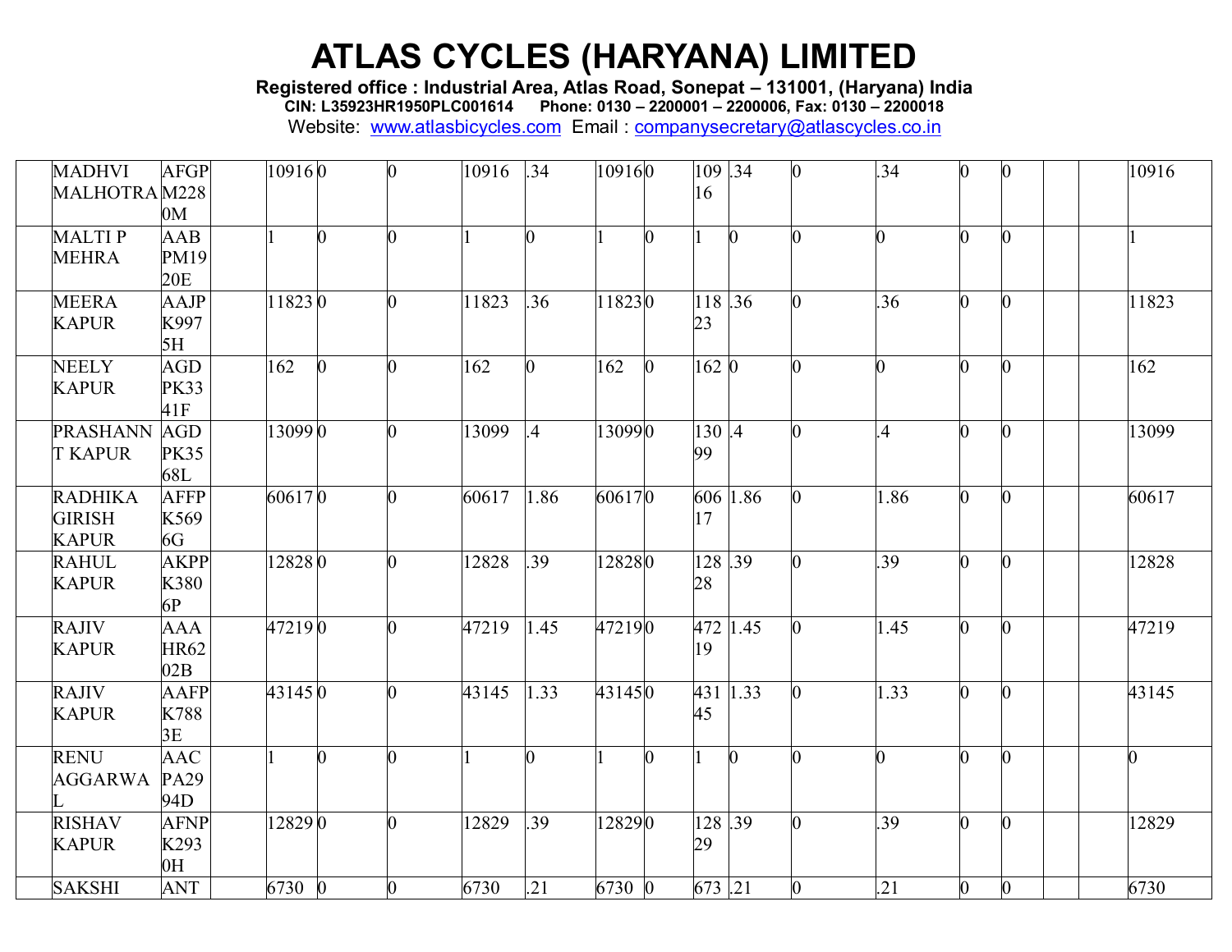**Registered office : Industrial Area, Atlas Road, Sonepat – 131001, (Haryana) India**

**CIN: L35923HR1950PLC001614 Phone: 0130 – 2200001 – 2200006, Fax: 0130 – 2200018**

| <b>MADHVI</b><br>MALHOTRAM228                   | <b>AFGP</b><br>0 <sub>M</sub>          | 109160 |                | 0              | 10916 | .34             | 109160 |          | 109.34<br>16          |              |          | .34            |                |                  | 10916 |
|-------------------------------------------------|----------------------------------------|--------|----------------|----------------|-------|-----------------|--------|----------|-----------------------|--------------|----------|----------------|----------------|------------------|-------|
| <b>MALTIP</b><br><b>MEHRA</b>                   | AAB<br>PM19<br>20E                     |        | $\overline{0}$ |                |       | 0               |        | 0        |                       | $\mathbf{0}$ |          | $\overline{0}$ |                | $\overline{0}$   |       |
| <b>MEERA</b><br><b>KAPUR</b>                    | AAJP<br>K997<br>5H                     | 118230 |                |                | 11823 | .36             | 118230 |          | 118.36<br>23          |              |          | .36            |                | $\overline{0}$   | 11823 |
| <b>NEELY</b><br><b>KAPUR</b>                    | <b>AGD</b><br><b>PK33</b><br>41F       | 162    | O.             |                | 162   | 0               | 162    | $\Omega$ | 162 0                 |              |          | 0              |                | 0                | 162   |
| <b>PRASHANN</b><br><b>T KAPUR</b>               | <b>AGD</b><br><b>PK35</b><br>68L       | 130990 |                |                | 13099 | $\overline{.4}$ | 130990 |          | 130.4<br>99           |              |          | $\mathcal{A}$  |                | $\bf{0}$         | 13099 |
| <b>RADHIKA</b><br><b>GIRISH</b><br><b>KAPUR</b> | <b>AFFP</b><br>K569<br>6G              | 606170 |                |                | 60617 | 1.86            | 606170 |          | 17                    | 606 1.86     |          | 1.86           |                | $\boldsymbol{0}$ | 60617 |
| <b>RAHUL</b><br><b>KAPUR</b>                    | <b>AKPP</b><br>K380<br>6P              | 128280 |                | ∩              | 12828 | .39             | 128280 |          | $128\sqrt{.39}$<br>28 |              |          | .39            |                | $\bf{0}$         | 12828 |
| <b>RAJIV</b><br><b>KAPUR</b>                    | <b>AAA</b><br><b>HR62</b><br>02B       | 472190 |                |                | 47219 | 1.45            | 472190 |          | 472<br>19             | 1.45         |          | 1.45           |                | 0                | 47219 |
| <b>RAJIV</b><br><b>KAPUR</b>                    | <b>AAFP</b><br>K788<br>3E              | 431450 |                |                | 43145 | 1.33            | 431450 |          | 431 1.33<br>45        |              |          | 1.33           | O.             | $\overline{0}$   | 43145 |
| <b>RENU</b><br><b>AGGARWA</b>                   | <b>AAC</b><br>PA29<br>94D              |        |                |                |       |                 |        |          |                       |              |          | O.             |                | $\overline{0}$   | 0     |
| <b>RISHAV</b><br><b>KAPUR</b>                   | <b>AFNP</b><br>K293<br>$\overline{H}0$ | 128290 |                | ∩              | 12829 | .39             | 128290 |          | 128.39<br>29          |              |          | .39            |                | 0                | 12829 |
| <b>SAKSHI</b>                                   | <b>ANT</b>                             | 6730 0 |                | $\overline{0}$ | 6730  | .21             | 6730 0 |          | $673$ .21             |              | $\bf{0}$ | .21            | $\overline{0}$ | $\boldsymbol{0}$ | 6730  |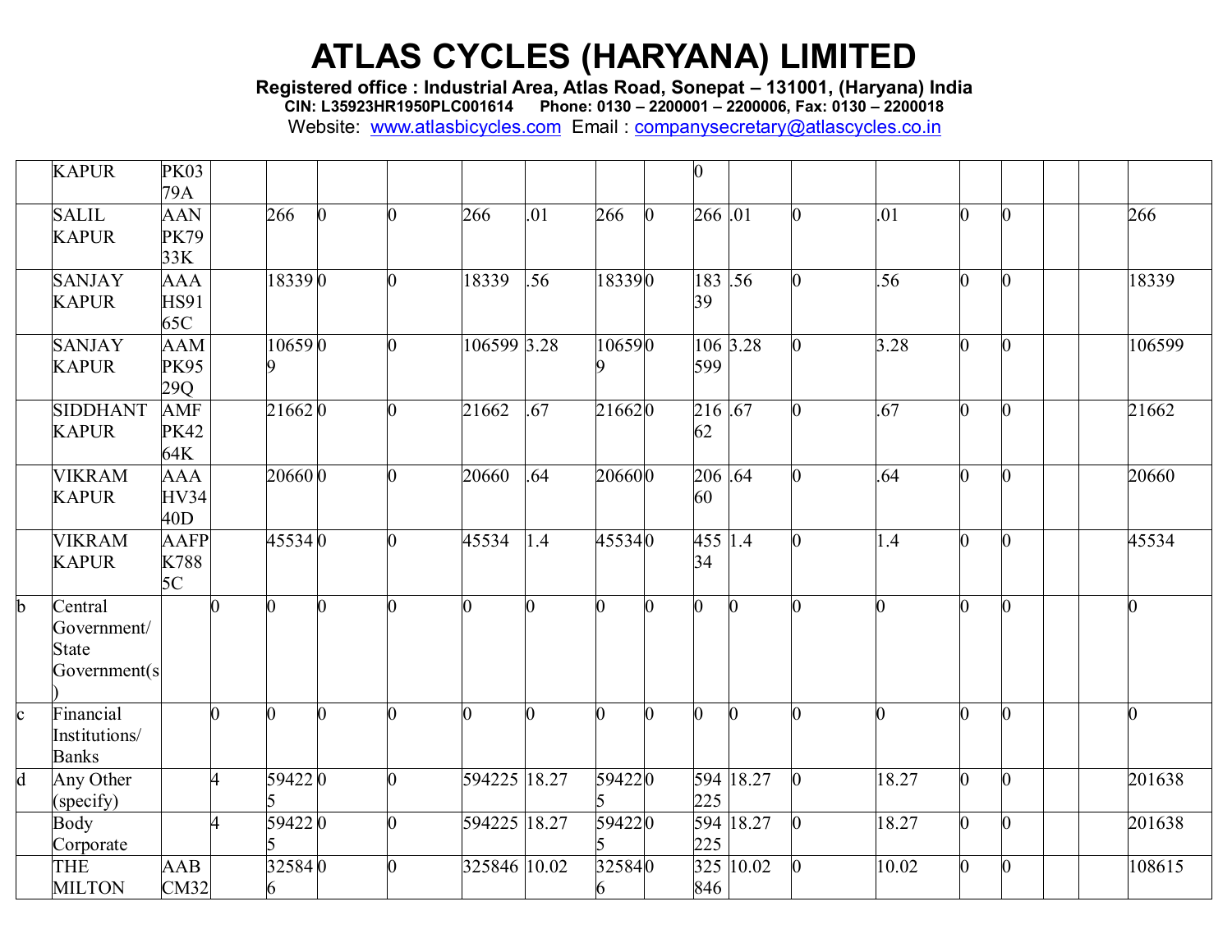**Registered office : Industrial Area, Atlas Road, Sonepat – 131001, (Haryana) India**

**CIN: L35923HR1950PLC001614 Phone: 0130 – 2200001 – 2200006, Fax: 0130 – 2200018**

|              | <b>KAPUR</b>    | <b>PK03</b> |                      |                |   |                |     |              |          |                |           |                |                |                |          |  |                |
|--------------|-----------------|-------------|----------------------|----------------|---|----------------|-----|--------------|----------|----------------|-----------|----------------|----------------|----------------|----------|--|----------------|
|              |                 | 79A         |                      |                |   |                |     |              |          |                |           |                |                |                |          |  |                |
|              | <b>SALIL</b>    | <b>AAN</b>  |                      | 266            | n | 266            | .01 | 266          | $\Omega$ | 266 .01        |           | $\overline{0}$ | .01            | $\Omega$       | b.       |  | 266            |
|              | <b>KAPUR</b>    | <b>PK79</b> |                      |                |   |                |     |              |          |                |           |                |                |                |          |  |                |
|              |                 | 33K         |                      |                |   |                |     |              |          |                |           |                |                |                |          |  |                |
|              | <b>SANJAY</b>   | <b>AAA</b>  |                      | 183390         |   | 18339          | .56 | 183390       |          | 183 .56        |           | 0              | .56            | $\overline{0}$ | 0        |  | 18339          |
|              | <b>KAPUR</b>    | <b>HS91</b> |                      |                |   |                |     |              |          | 39             |           |                |                |                |          |  |                |
|              |                 | 65C         |                      |                |   |                |     |              |          |                |           |                |                |                |          |  |                |
|              | <b>SANJAY</b>   | <b>AAM</b>  |                      | 106590         |   | 106599 3.28    |     | 106590       |          |                | 106 3.28  | O.             | 3.28           | $\Omega$       | 0        |  | 106599         |
|              | <b>KAPUR</b>    | <b>PK95</b> |                      |                |   |                |     |              |          | 599            |           |                |                |                |          |  |                |
|              |                 | 29Q         |                      |                |   |                |     |              |          |                |           |                |                |                |          |  |                |
|              | <b>SIDDHANT</b> | <b>AMF</b>  |                      | 216620         |   | 21662          | .67 | 216620       |          | $216$ .67      |           | 0              | .67            | $\overline{0}$ | O.       |  | 21662          |
|              | <b>KAPUR</b>    | <b>PK42</b> |                      |                |   |                |     |              |          | 62             |           |                |                |                |          |  |                |
|              |                 | 64K         |                      |                |   |                |     |              |          |                |           |                |                |                |          |  |                |
|              | <b>VIKRAM</b>   | <b>AAA</b>  |                      | 206600         |   | 20660          | .64 | 206600       |          | 206 .64        |           |                | .64            | 0              | 0        |  | 20660          |
|              | <b>KAPUR</b>    | <b>HV34</b> |                      |                |   |                |     |              |          | 60             |           |                |                |                |          |  |                |
|              |                 | 40D         |                      |                |   |                |     |              |          |                |           |                |                |                |          |  |                |
|              | <b>VIKRAM</b>   | <b>AAFP</b> |                      | 455340         | ∩ | 45534          | 1.4 | 455340       |          | 455 1.4        |           | 0              | 1.4            | $\overline{0}$ | O.       |  | 45534          |
|              | <b>KAPUR</b>    | K788        |                      |                |   |                |     |              |          | 34             |           |                |                |                |          |  |                |
|              |                 | 5C          |                      |                |   |                |     |              |          |                |           |                |                |                |          |  |                |
| $\mathbf{b}$ | Central         |             | n                    | $\overline{0}$ |   | $\overline{0}$ |     | 0            |          | $\overline{0}$ | $\Omega$  | 0              | $\overline{0}$ | $\overline{0}$ | O.       |  | $\theta$       |
|              | Government/     |             |                      |                |   |                |     |              |          |                |           |                |                |                |          |  |                |
|              | <b>State</b>    |             |                      |                |   |                |     |              |          |                |           |                |                |                |          |  |                |
|              | Government(s)   |             |                      |                |   |                |     |              |          |                |           |                |                |                |          |  |                |
|              |                 |             |                      |                |   |                |     |              |          |                |           |                |                |                |          |  |                |
| $\mathbf{c}$ | Financial       |             | 0                    | 0              |   | $\overline{0}$ |     | <sub>0</sub> |          | $\mathbf{0}$   | $\Omega$  | 0              | 0              | n.             | O.       |  | $\overline{0}$ |
|              | Institutions/   |             |                      |                |   |                |     |              |          |                |           |                |                |                |          |  |                |
|              | <b>Banks</b>    |             |                      |                |   |                |     |              |          |                |           |                |                |                |          |  |                |
| d            | Any Other       |             | $\overline{\Lambda}$ | 594220         | ∩ | 594225 18.27   |     | 594220       |          |                | 594 18.27 | $\bf{0}$       | 18.27          | $\overline{0}$ | $\Omega$ |  | 201638         |
|              | (specify)       |             |                      |                |   |                |     |              |          | 225            |           |                |                |                |          |  |                |
|              | <b>Body</b>     |             |                      | 594220         |   | 594225 18.27   |     | 594220       |          |                | 594 18.27 | $\overline{0}$ | 18.27          | $\Omega$       | 0        |  | 201638         |
|              | Corporate       |             |                      |                |   |                |     |              |          | 225            |           |                |                |                |          |  |                |
|              | THE             | <b>AAB</b>  |                      | 325840         |   | 325846 10.02   |     | 325840       |          |                | 325 10.02 |                | 10.02          | $\overline{0}$ | 0        |  | 108615         |
|              | <b>MILTON</b>   | CM32        |                      | 6              |   |                |     | 6            |          | 846            |           |                |                |                |          |  |                |
|              |                 |             |                      |                |   |                |     |              |          |                |           |                |                |                |          |  |                |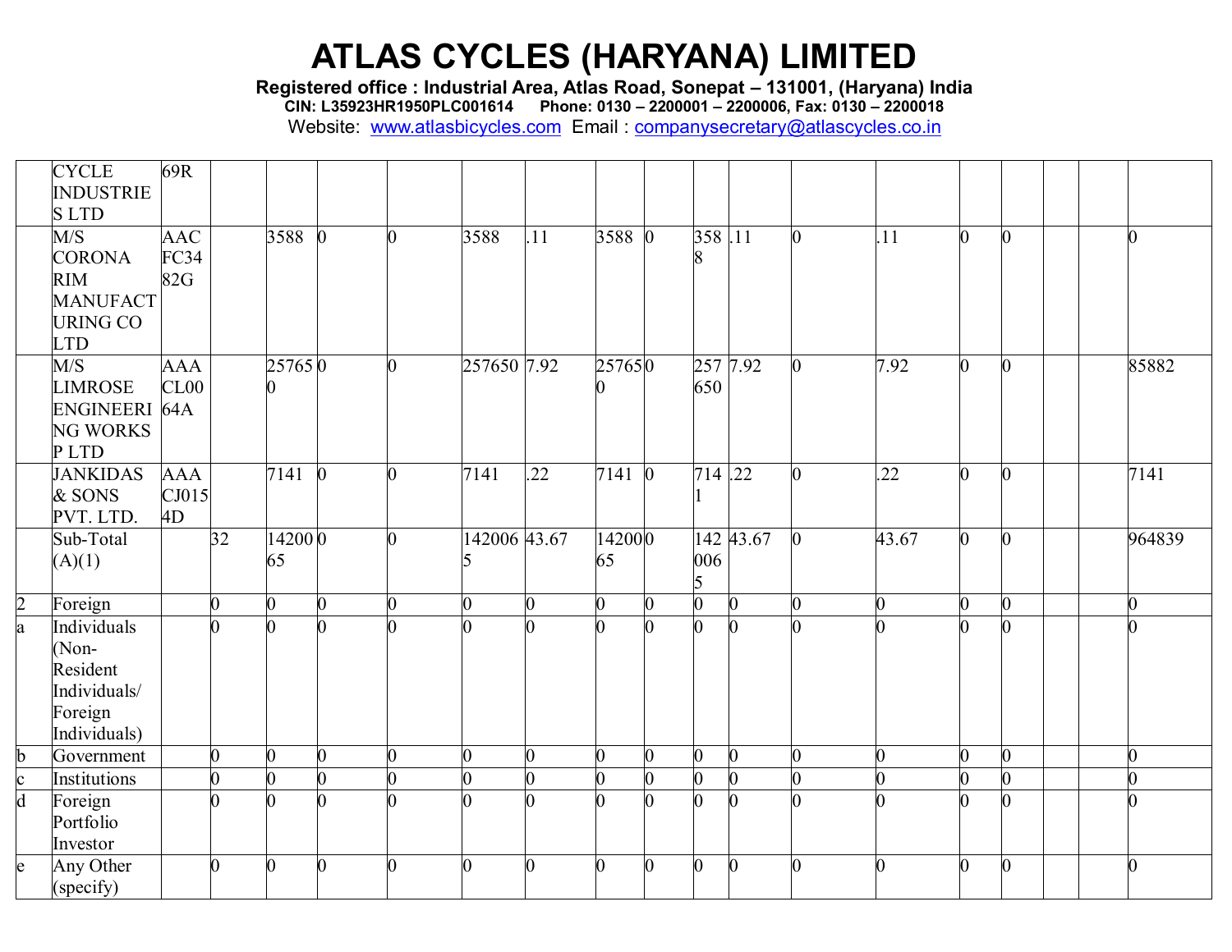**Registered office : Industrial Area, Atlas Road, Sonepat – 131001, (Haryana) India**

**CIN: L35923HR1950PLC001614 Phone: 0130 – 2200001 – 2200006, Fax: 0130 – 2200018**

|                         | <b>CYCLE</b>            | 69R        |                 |                |                |    |              |                |                |   |                |                |                |       |    |                |                |        |
|-------------------------|-------------------------|------------|-----------------|----------------|----------------|----|--------------|----------------|----------------|---|----------------|----------------|----------------|-------|----|----------------|----------------|--------|
|                         | <b>INDUSTRIE</b>        |            |                 |                |                |    |              |                |                |   |                |                |                |       |    |                |                |        |
|                         | <b>SLTD</b>             |            |                 |                |                |    |              |                |                |   |                |                |                |       |    |                |                |        |
|                         | M/S                     | <b>AAC</b> |                 | 3588           | $\mathbf{0}$   | O. | 3588         | .11            | 3588 0         |   | 358.11         |                | $\overline{0}$ | .11   | 0  | $\mathbf{0}$   | $\overline{0}$ |        |
|                         | <b>CORONA</b>           | FC34       |                 |                |                |    |              |                |                |   |                |                |                |       |    |                |                |        |
|                         | <b>RIM</b>              | 82G        |                 |                |                |    |              |                |                |   |                |                |                |       |    |                |                |        |
|                         | <b>MANUFACT</b>         |            |                 |                |                |    |              |                |                |   |                |                |                |       |    |                |                |        |
|                         | <b>URING CO</b>         |            |                 |                |                |    |              |                |                |   |                |                |                |       |    |                |                |        |
|                         | <b>LTD</b>              |            |                 |                |                |    |              |                |                |   |                |                |                |       | ∩  |                |                |        |
|                         | M/S                     | <b>AAA</b> |                 | 257650         |                | ∩  | 257650 7.92  |                | 257650         |   | 257 7.92       |                |                | 7.92  |    | $\overline{0}$ |                | 85882  |
|                         | <b>LIMROSE</b>          | CL00       |                 |                |                |    |              |                |                |   | 650            |                |                |       |    |                |                |        |
|                         | ENGINEERI 64A           |            |                 |                |                |    |              |                |                |   |                |                |                |       |    |                |                |        |
|                         | <b>NG WORKS</b><br>PLTD |            |                 |                |                |    |              |                |                |   |                |                |                |       |    |                |                |        |
|                         | <b>JANKIDAS</b>         | <b>AAA</b> |                 | 7141           | $\bf{0}$       |    | 7141         | .22            | 7141 0         |   | $714$ .22      |                |                | 22    | ∩  | $\mathbf{0}$   |                | 7141   |
|                         | & SONS                  | CJ015      |                 |                |                |    |              |                |                |   |                |                |                |       |    |                |                |        |
|                         | PVT. LTD.               | 4D         |                 |                |                |    |              |                |                |   |                |                |                |       |    |                |                |        |
|                         | Sub-Total               |            | $\overline{32}$ | 142000         |                | ∩  | 142006 43.67 |                | 142000         |   |                | 142 43.67      |                | 43.67 | n. | $\overline{0}$ |                | 964839 |
|                         | (A)(1)                  |            |                 | 65             |                |    |              |                | 65             |   | 006            |                |                |       |    |                |                |        |
|                         |                         |            |                 |                |                |    |              |                |                |   | 5              |                |                |       |    |                |                |        |
|                         | Foreign                 |            | $\overline{0}$  | $\overline{0}$ | $\overline{0}$ | 0  |              | $\overline{0}$ | $\overline{0}$ | 0 | $\overline{0}$ | $\overline{0}$ |                | 0     | ∩  | $\overline{0}$ | $\overline{0}$ |        |
| $\frac{2}{a}$           | Individuals             |            | U               |                |                |    |              |                | <sup>0</sup>   |   | 0              |                |                | ∩     |    | 0              |                |        |
|                         | Non-                    |            |                 |                |                |    |              |                |                |   |                |                |                |       |    |                |                |        |
|                         | Resident                |            |                 |                |                |    |              |                |                |   |                |                |                |       |    |                |                |        |
|                         | Individuals/            |            |                 |                |                |    |              |                |                |   |                |                |                |       |    |                |                |        |
|                         | Foreign                 |            |                 |                |                |    |              |                |                |   |                |                |                |       |    |                |                |        |
|                         | Individuals)            |            |                 |                |                |    |              |                |                |   |                |                |                |       |    |                |                |        |
| b                       | Government              |            | 0               | 0              | 0              | 0  |              | 0              | $\overline{0}$ | 0 | 0              | $\overline{0}$ |                | 0     |    | $\overline{0}$ |                |        |
| $\mathbf{c}$            | Institutions            |            | $\overline{0}$  | 0              | $\overline{0}$ | 0  |              | 0              | $\overline{0}$ | 0 | $\overline{0}$ | $\overline{0}$ |                | ∩     |    | $\overline{0}$ | $\overline{0}$ |        |
| $\overline{\mathbf{d}}$ | Foreign                 |            | $\Omega$        | 0              | n              |    |              |                | <sup>0</sup>   | ∩ | $\Omega$       | U              |                | ∩     |    | 0              |                |        |
|                         | Portfolio               |            |                 |                |                |    |              |                |                |   |                |                |                |       |    |                |                |        |
|                         | Investor                |            |                 |                |                |    |              |                |                |   |                |                |                |       |    |                |                |        |
| e                       | Any Other               |            | $\overline{0}$  | ∩              | $\overline{0}$ | ∩  |              | 0              | $\Omega$       | ∩ | $\overline{0}$ | $\bf{0}$       |                | ∩     | ∩  | $\overline{0}$ | $\overline{0}$ |        |
|                         | (specify)               |            |                 |                |                |    |              |                |                |   |                |                |                |       |    |                |                |        |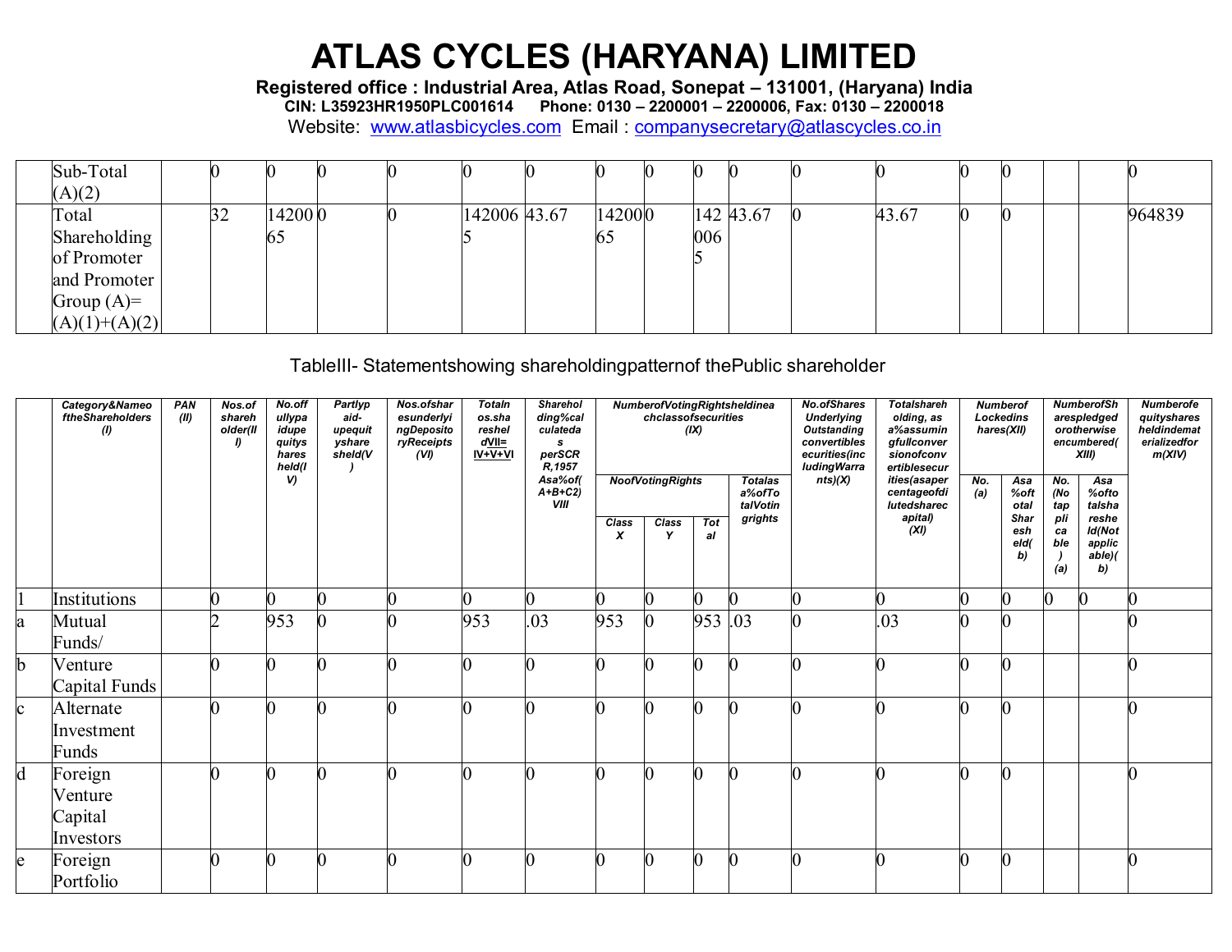Registered office : Industrial Area, Atlas Road, Sonepat - 131001, (Haryana) India<br>CIN: L35923HR1950PLC001614 Phone: 0130 - 2200001 - 2200006, Fax: 0130 - 2200018

Website: www.atlasbicycles.com Email: companysecretary@atlascycles.co.in

| Sub-Total       |    |         |  |              |        |     |           |       |  |  |        |
|-----------------|----|---------|--|--------------|--------|-----|-----------|-------|--|--|--------|
| (A)(2)          |    |         |  |              |        |     |           |       |  |  |        |
| Total           | 32 | 14200 0 |  | 142006 43.67 | 142000 |     | 142 43.67 | 43.67 |  |  | 964839 |
| Shareholding    |    | 65      |  |              | 65     | 006 |           |       |  |  |        |
| of Promoter     |    |         |  |              |        |     |           |       |  |  |        |
| and Promoter    |    |         |  |              |        |     |           |       |  |  |        |
| Group $(A)=$    |    |         |  |              |        |     |           |       |  |  |        |
| $(A)(1)+(A)(2)$ |    |         |  |              |        |     |           |       |  |  |        |

TableIII- Statementshowing shareholdingpatternof thePublic shareholder

|              | Category&Nameo<br>ftheShareholders<br>(1)  | PAN<br>(11) | Nos.of<br>shareh<br>older(II<br>D | No.off<br>ullypa<br>idupe<br>quitys<br>hares<br>held(I | Partlyp<br>aid-<br>upequit<br>yshare<br>sheld(V | Nos.ofshar<br>esunderlyi<br>ngDeposito<br>ryReceipts<br>(VI) | <b>Totaln</b><br>os.sha<br>reshel<br>$d$ VII=<br>$IV+V+VI$ | <b>Sharehol</b><br>ding%cal<br>culateda<br>s<br>perSCR<br>R, 1957 |                                    | chclassofsecurities     | (IX)             | NumberofVotingRightsheldinea         | <b>No.ofShares</b><br><b>Underlying</b><br><b>Outstanding</b><br>convertibles<br>ecurities(inc<br>luding Warra | <b>Totalshareh</b><br>olding, as<br>a%assumin<br>qfullconver<br>sionofconv<br>ertiblesecur |            | <b>Numberof</b><br>Lockedins<br>hares(XII) |                         | <b>NumberofSh</b><br>arespledged<br>orotherwise<br>encumbered(<br>XIII | <b>Numberofe</b><br>quityshares<br>heldindemat<br>erializedfor<br>m(XIV) |
|--------------|--------------------------------------------|-------------|-----------------------------------|--------------------------------------------------------|-------------------------------------------------|--------------------------------------------------------------|------------------------------------------------------------|-------------------------------------------------------------------|------------------------------------|-------------------------|------------------|--------------------------------------|----------------------------------------------------------------------------------------------------------------|--------------------------------------------------------------------------------------------|------------|--------------------------------------------|-------------------------|------------------------------------------------------------------------|--------------------------------------------------------------------------|
|              |                                            |             |                                   | <sub>v</sub>                                           |                                                 |                                                              |                                                            | Asa%of(<br>$A+B+C2$<br>VIII                                       |                                    | <b>NoofVotingRights</b> |                  | <b>Totalas</b><br>a%ofTo<br>talVotin | nts)(X)                                                                                                        | ities(asaper<br>centageofdi<br>lutedsharec                                                 | No.<br>(a) | Asa<br>%oft<br>otal                        | No.<br>(No<br>tap       | Asa<br>%ofto<br>talsha                                                 |                                                                          |
|              |                                            |             |                                   |                                                        |                                                 |                                                              |                                                            |                                                                   | Class<br>$\boldsymbol{\mathsf{x}}$ | Class<br>$\mathbf v$    | <b>Tot</b><br>al | grights                              |                                                                                                                | apital)<br>(XI)                                                                            |            | Shar<br>esh<br>eld(<br>b)                  | pli<br>ca<br>ble<br>(a) | reshe<br>Id(Not<br>applic<br>$able$ $\ell$<br>b)                       |                                                                          |
|              | Institutions                               |             | 0                                 |                                                        |                                                 |                                                              |                                                            |                                                                   |                                    |                         | 0                |                                      |                                                                                                                |                                                                                            |            |                                            |                         |                                                                        |                                                                          |
| a            | Mutual<br>Funds/                           |             | ⌒                                 | 953                                                    |                                                 |                                                              | 953                                                        | .03                                                               | 953                                |                         | 953 .03          |                                      |                                                                                                                | .03                                                                                        |            |                                            |                         |                                                                        |                                                                          |
| b            | Venture<br>Capital Funds                   |             | $\Omega$                          |                                                        |                                                 |                                                              |                                                            |                                                                   |                                    |                         |                  |                                      |                                                                                                                |                                                                                            |            |                                            |                         |                                                                        |                                                                          |
| $\mathbf{c}$ | Alternate<br>Investment<br>Funds           |             | $\Omega$                          |                                                        |                                                 |                                                              |                                                            |                                                                   | $\Omega$                           |                         |                  |                                      |                                                                                                                |                                                                                            |            | $\sim$                                     |                         |                                                                        |                                                                          |
| d            | Foreign<br>Venture<br>Capital<br>Investors |             | $\Omega$                          |                                                        |                                                 |                                                              |                                                            |                                                                   | $\Omega$                           | n                       |                  |                                      |                                                                                                                | Λ                                                                                          |            |                                            |                         |                                                                        |                                                                          |
| e            | Foreign<br>Portfolio                       |             | $\Omega$                          |                                                        |                                                 |                                                              |                                                            |                                                                   | $\Omega$                           | 0                       | N                |                                      |                                                                                                                |                                                                                            |            |                                            |                         |                                                                        |                                                                          |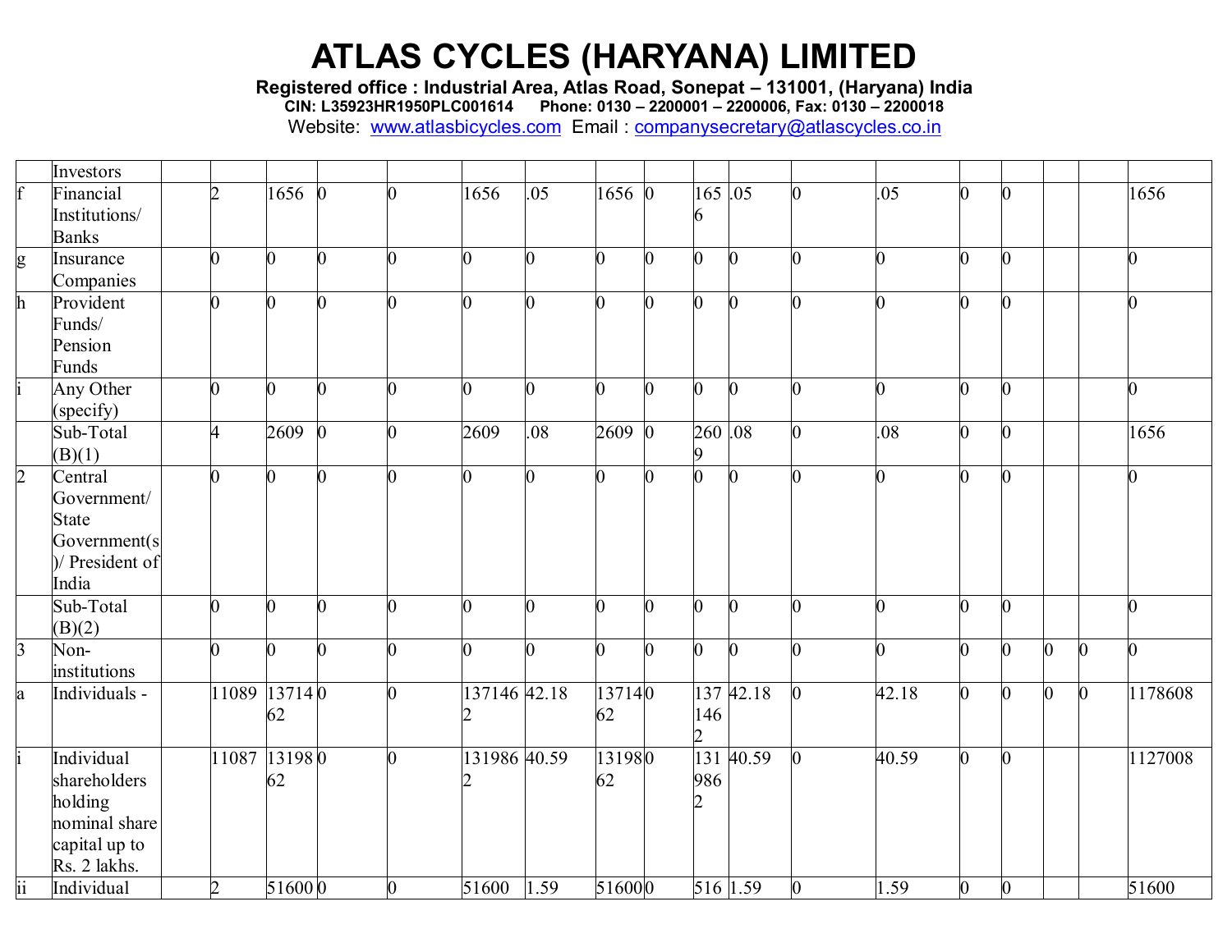**Registered office : Industrial Area, Atlas Road, Sonepat – 131001, (Haryana) India**

**CIN: L35923HR1950PLC001614 Phone: 0130 – 2200001 – 2200006, Fax: 0130 – 2200018**

|                | Investors       |                |          |          |                |                |      |                |              |                |              |                |       |   |                |                |              |                |
|----------------|-----------------|----------------|----------|----------|----------------|----------------|------|----------------|--------------|----------------|--------------|----------------|-------|---|----------------|----------------|--------------|----------------|
|                | Financial       | $\overline{2}$ | 1656     | $\Omega$ | $\Omega$       | 1656           | .05  | 16560          |              | $165 \,   05$  |              | $\overline{0}$ | .05   |   | $\bf{0}$       |                |              | 1656           |
|                | Institutions/   |                |          |          |                |                |      |                |              |                |              |                |       |   |                |                |              |                |
|                | <b>Banks</b>    |                |          |          |                |                |      |                |              |                |              |                |       |   |                |                |              |                |
| g              | Insurance       | n              | 0        |          | 0              | $\overline{0}$ |      | 0              |              | 0              | $\bf{0}$     | 0              | 0     |   | 0              |                |              |                |
|                | Companies       |                |          |          |                |                |      |                |              |                |              |                |       |   |                |                |              |                |
| h              | Provident       | $\overline{0}$ | 0        |          | 0              | $\overline{0}$ |      | $\overline{0}$ | 0            | 0              | $\bf{0}$     | $\overline{0}$ | 0     |   | 0              |                |              |                |
|                | Funds/          |                |          |          |                |                |      |                |              |                |              |                |       |   |                |                |              |                |
|                | Pension         |                |          |          |                |                |      |                |              |                |              |                |       |   |                |                |              |                |
|                | Funds           |                |          |          |                |                |      |                |              |                |              |                |       |   |                |                |              |                |
|                | Any Other       | $\overline{0}$ | $\Omega$ |          | 0              | $\overline{0}$ |      | 0              | n            | $\overline{0}$ | $\mathbf{0}$ | $\overline{0}$ | 0     |   | 0              |                |              | O.             |
|                | (specify)       |                |          |          |                |                |      |                |              |                |              |                |       |   |                |                |              |                |
|                | Sub-Total       | $\overline{4}$ | 2609     | $\Omega$ | $\overline{0}$ | 2609           | .08  | 2609           | $\mathbf{0}$ | $260\, \,08$   |              | $\overline{0}$ | .08   |   | $\bf{0}$       |                |              | 1656           |
|                | (B)(1)          |                |          |          |                |                |      |                |              | Q              |              |                |       |   |                |                |              |                |
| $\overline{2}$ | Central         | 0              | 0        |          |                | $\overline{0}$ |      | O              |              | 0              | Ю            | 0              | 0     |   | 0              |                |              |                |
|                | Government/     |                |          |          |                |                |      |                |              |                |              |                |       |   |                |                |              |                |
|                | <b>State</b>    |                |          |          |                |                |      |                |              |                |              |                |       |   |                |                |              |                |
|                | Government(s    |                |          |          |                |                |      |                |              |                |              |                |       |   |                |                |              |                |
|                | )/ President of |                |          |          |                |                |      |                |              |                |              |                |       |   |                |                |              |                |
|                | India           |                |          |          |                |                |      |                |              |                |              |                |       |   |                |                |              |                |
|                | Sub-Total       | $\overline{0}$ | n        |          | O.             | $\overline{0}$ |      | O              |              | 0              | IO.          | 0              | 0     |   | 0              |                |              |                |
|                | (B)(2)          |                |          |          |                |                |      |                |              |                |              |                |       |   |                |                |              |                |
| $\overline{3}$ | Non-            | $\overline{0}$ | $\Omega$ |          | $\overline{0}$ | $\overline{0}$ |      | 0              | $\Omega$     | $\overline{0}$ | $\bf{0}$     | $\overline{0}$ | 0     | 0 | $\mathbf{0}$   | $\overline{0}$ | $\Omega$     | $\overline{0}$ |
|                | institutions    |                |          |          |                |                |      |                |              |                |              |                |       |   |                |                |              |                |
| a              | Individuals -   | 11089          | 13714 0  |          | $\mathbf{0}$   | 137146 42.18   |      | 137140         |              |                | 137 42.18    | $\overline{0}$ | 42.18 |   | $\overline{0}$ | $\overline{0}$ | $\mathbf{0}$ | 1178608        |
|                |                 |                | 62       |          |                |                |      | 62             |              | 146            |              |                |       |   |                |                |              |                |
|                |                 |                |          |          |                |                |      |                |              | $\overline{2}$ |              |                |       |   |                |                |              |                |
|                | Individual      | 11087          | 131980   |          | $\Omega$       | 131986 40.59   |      | 131980         |              |                | 131 40.59    | $\overline{0}$ | 40.59 |   | $\bf{0}$       |                |              | 1127008        |
|                | shareholders    |                | 62       |          |                |                |      | 62             |              | 986            |              |                |       |   |                |                |              |                |
|                | holding         |                |          |          |                |                |      |                |              |                |              |                |       |   |                |                |              |                |
|                | nominal share   |                |          |          |                |                |      |                |              |                |              |                |       |   |                |                |              |                |
|                | capital up to   |                |          |          |                |                |      |                |              |                |              |                |       |   |                |                |              |                |
|                | Rs. 2 lakhs.    |                |          |          |                |                |      |                |              |                |              |                |       |   |                |                |              |                |
| ii             | Individual      | $\overline{2}$ | 516000   |          | $\overline{0}$ | 51600          | 1.59 | 516000         |              |                | 516 1.59     | $\overline{0}$ | 1.59  | 0 | $\bf{0}$       |                |              | $\sqrt{51600}$ |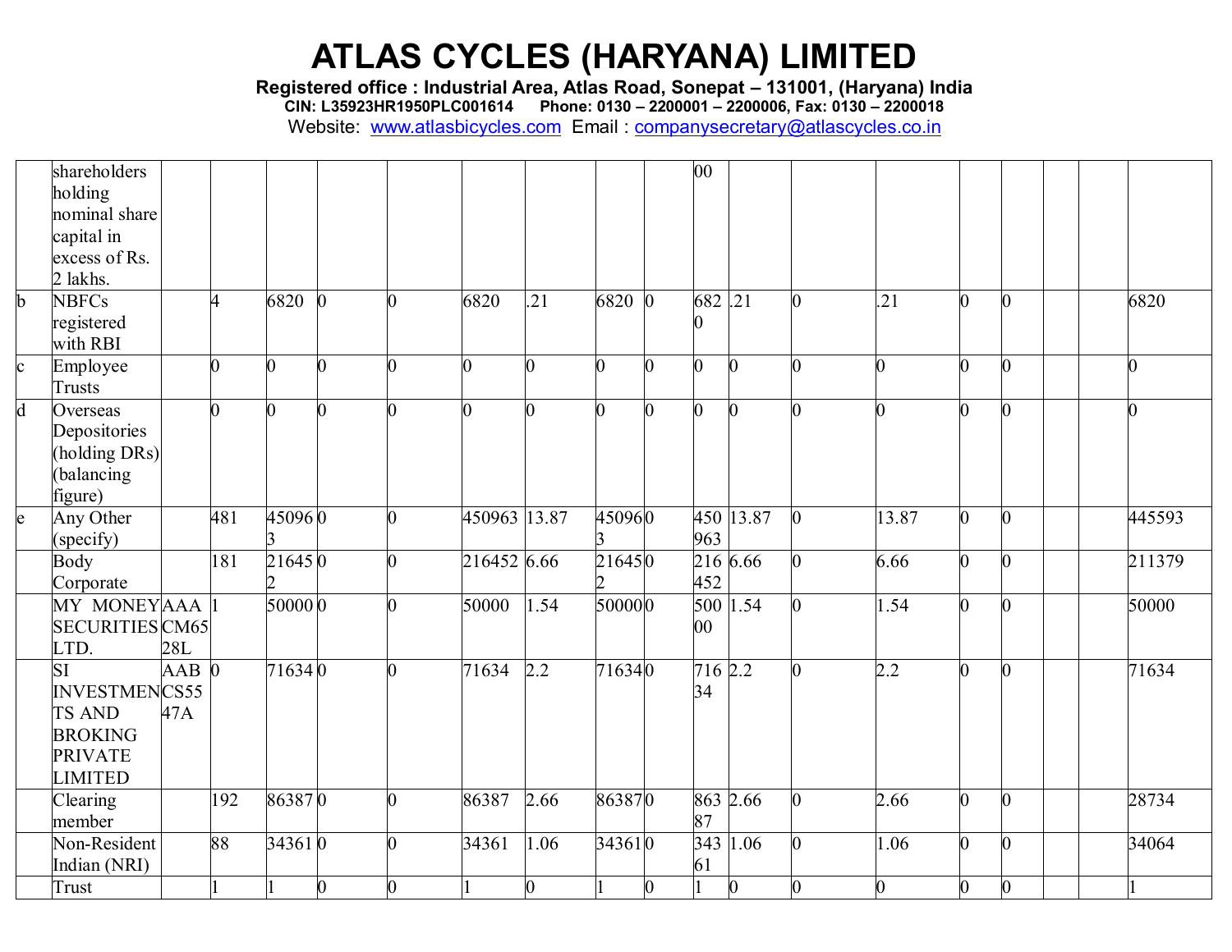**Registered office : Industrial Area, Atlas Road, Sonepat – 131001, (Haryana) India**

**CIN: L35923HR1950PLC001614 Phone: 0130 – 2200001 – 2200006, Fax: 0130 – 2200018**

|              | shareholders         |         |                |                 |                |   |              |                |                |   | 00             |                  |                |                |                |                |
|--------------|----------------------|---------|----------------|-----------------|----------------|---|--------------|----------------|----------------|---|----------------|------------------|----------------|----------------|----------------|----------------|
|              | holding              |         |                |                 |                |   |              |                |                |   |                |                  |                |                |                |                |
|              | nominal share        |         |                |                 |                |   |              |                |                |   |                |                  |                |                |                |                |
|              | capital in           |         |                |                 |                |   |              |                |                |   |                |                  |                |                |                |                |
|              | excess of Rs.        |         |                |                 |                |   |              |                |                |   |                |                  |                |                |                |                |
|              | 2 lakhs.             |         |                |                 |                |   |              |                |                |   |                |                  |                |                |                |                |
| b            | <b>NBFCs</b>         |         | 4              | 6820            | $\mathbf{0}$   | ⋂ | 6820         | .21            | 6820 0         |   | 682.21         |                  | .21            | $\overline{0}$ | $\overline{0}$ | 6820           |
|              | registered           |         |                |                 |                |   |              |                |                |   | 0              |                  |                |                |                |                |
|              | with RBI             |         |                |                 |                |   |              |                |                |   |                |                  |                |                |                |                |
| $\mathbf{c}$ | Employee             |         | $\overline{0}$ | $\overline{0}$  | $\overline{0}$ | ∩ |              | $\overline{0}$ | $\bf{0}$       | O | $\overline{0}$ | $\boldsymbol{0}$ | 0              | 0              | $\overline{0}$ | $\overline{0}$ |
|              | <b>Trusts</b>        |         |                |                 |                |   |              |                |                |   |                |                  |                |                |                |                |
| d            | Overseas             |         | $\overline{0}$ | $\overline{0}$  | $\overline{0}$ | n |              | 0              | $\overline{0}$ | 0 | $\overline{0}$ | $\Omega$         | $\overline{0}$ | $\overline{0}$ | $\overline{0}$ | $\overline{0}$ |
|              | Depositories         |         |                |                 |                |   |              |                |                |   |                |                  |                |                |                |                |
|              | holding DRs)         |         |                |                 |                |   |              |                |                |   |                |                  |                |                |                |                |
|              | balancing            |         |                |                 |                |   |              |                |                |   |                |                  |                |                |                |                |
|              | figure)              |         |                |                 |                |   |              |                |                |   |                |                  |                |                |                |                |
| e            | Any Other            |         | 481            | 450960          |                |   | 450963 13.87 |                | 450960         |   |                | 450 13.87        | 13.87          | $\overline{0}$ | $\mathbf{0}$   | 445593         |
|              | (specify)            |         |                |                 |                |   |              |                |                |   | 963            |                  |                |                |                |                |
|              | Body                 |         | 181            | 216450          |                |   | 216452 6.66  |                | 216450         |   |                | 216 6.66         | 6.66           | $\overline{0}$ | $\overline{0}$ | 211379         |
|              | Corporate            |         |                | $\mathfrak{D}$  |                |   |              |                |                |   | 452            |                  |                |                |                |                |
|              | MY MONEYAAA          |         |                | 500000          |                | ∩ | 50000        | 1.54           | 500000         |   |                | 500 1.54         | 1.54           | $\overline{0}$ | $\overline{0}$ | 50000          |
|              | SECURITIES CM65      |         |                |                 |                |   |              |                |                |   | $00\,$         |                  |                |                |                |                |
|              | LTD.                 | 28L     |                |                 |                |   |              |                |                |   |                |                  |                |                |                |                |
|              | <b>SI</b>            | $AAB$ 0 |                | $\sqrt{7}16340$ |                |   | 71634        | 2.2            | 716340         |   | 716 2.2        |                  | 2.2            | $\overline{0}$ | $\overline{0}$ | 71634          |
|              | <b>INVESTMENCS55</b> |         |                |                 |                |   |              |                |                |   | 34             |                  |                |                |                |                |
|              | <b>TS AND</b>        | 47A     |                |                 |                |   |              |                |                |   |                |                  |                |                |                |                |
|              | <b>BROKING</b>       |         |                |                 |                |   |              |                |                |   |                |                  |                |                |                |                |
|              | <b>PRIVATE</b>       |         |                |                 |                |   |              |                |                |   |                |                  |                |                |                |                |
|              | <b>LIMITED</b>       |         |                |                 |                |   |              |                |                |   |                |                  |                |                |                |                |
|              | Clearing             |         | 192            | 863870          |                | 0 | 86387        | 2.66           | 863870         |   | 863 2.66       |                  | 2.66           | $\overline{0}$ | $\mathbf{0}$   | 28734          |
|              | member               |         |                |                 |                |   |              |                |                |   | 87             |                  |                |                |                |                |
|              | Non-Resident         |         | 88             | 343610          |                | ∩ | 34361        | 1.06           | 343610         |   | 343 1.06       |                  | 1.06           | $\overline{0}$ | O.             | 34064          |
|              | Indian (NRI)         |         |                |                 |                |   |              |                |                |   | 61             |                  |                |                |                |                |
|              | Trust                |         |                |                 | $\overline{0}$ | 0 |              | $\overline{0}$ |                | 0 |                | $\bf{0}$         | $\overline{0}$ | $\overline{0}$ | $\overline{0}$ |                |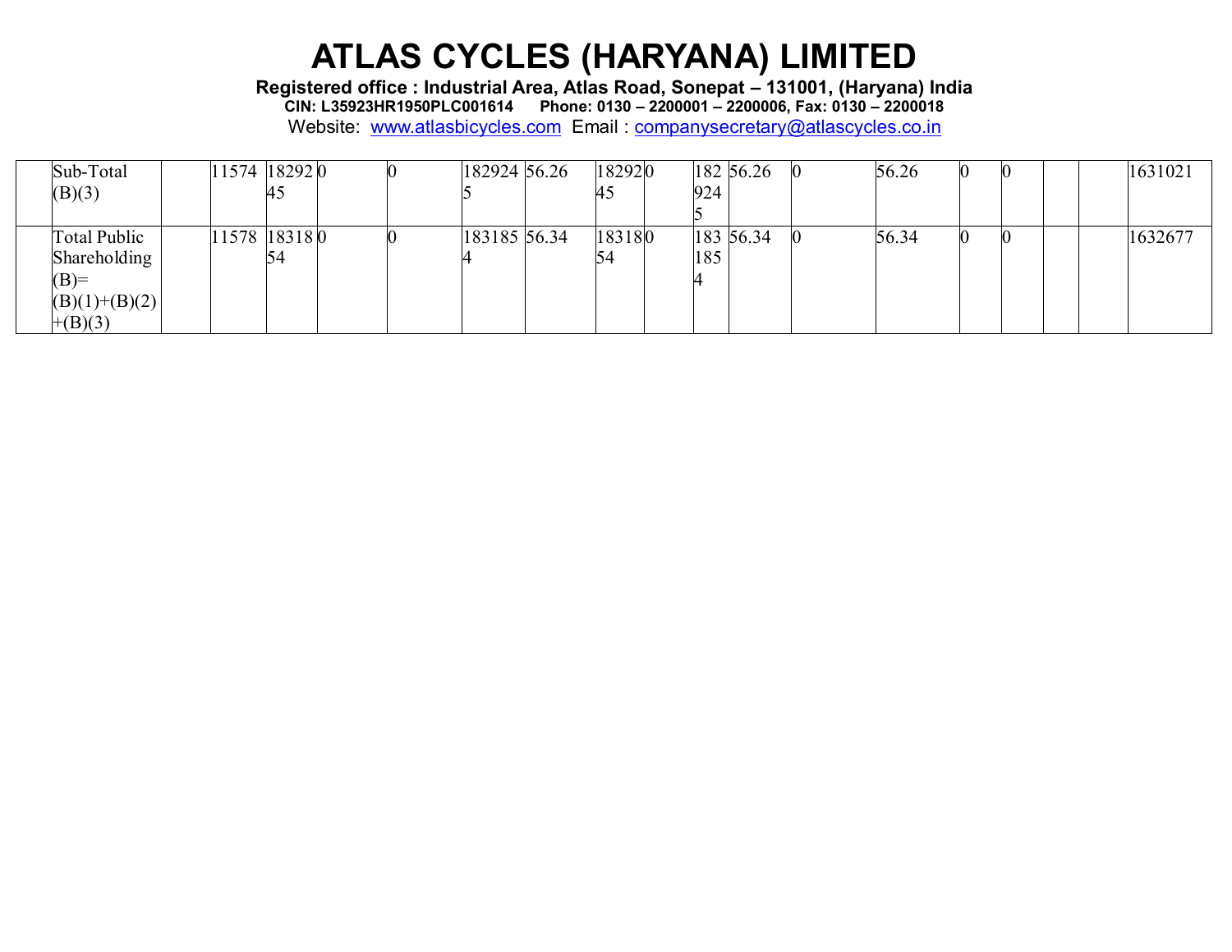**Registered office : Industrial Area, Atlas Road, Sonepat – 131001, (Haryana) India**

**CIN: L35923HR1950PLC001614 Phone: 0130 – 2200001 – 2200006, Fax: 0130 – 2200018**

| Sub-Total           | 11574 18292 0 |    |  | 182924 56.26 | 182920 |     | 182 56.26 | 56.26 |  |  | 1631021 |
|---------------------|---------------|----|--|--------------|--------|-----|-----------|-------|--|--|---------|
| (B)(3)              |               | 45 |  |              | 45     | 924 |           |       |  |  |         |
|                     |               |    |  |              |        |     |           |       |  |  |         |
| <b>Total Public</b> | 11578 18318 0 |    |  | 183185 56.34 | 183180 |     | 183 56.34 | 56.34 |  |  | 1632677 |
| Shareholding        |               | 54 |  |              |        | 185 |           |       |  |  |         |
| $(B)=$              |               |    |  |              |        |     |           |       |  |  |         |
| $(B)(1)+(B)(2)$     |               |    |  |              |        |     |           |       |  |  |         |
| $+(B)(3)$           |               |    |  |              |        |     |           |       |  |  |         |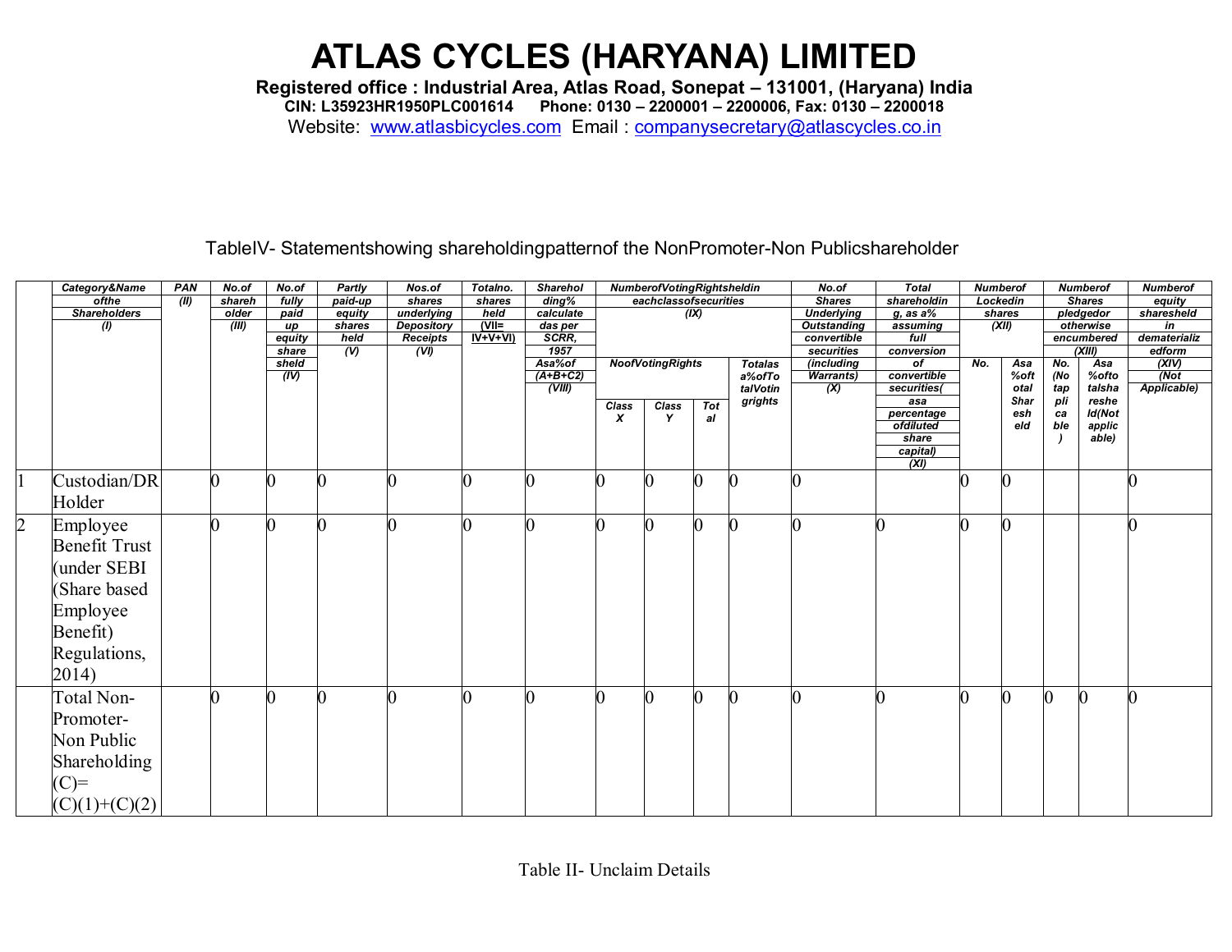**Registered office : Industrial Area, Atlas Road, Sonepat – 131001, (Haryana) India CIN: L35923HR1950PLC001614 Phone: 0130 – 2200001 – 2200006, Fax: 0130 – 2200018** Website: [www.atlasbicycles.com](http://www.atlasbicycles.com/) Email : [companysecretary@atlascycles.co.in](mailto:companysecretary@atlascycles.co.in)

TableIV- Statementshowing shareholdingpatternof the NonPromoter-Non Publicshareholder

|                | Category&Name                | PAN                                                     | No.of          | No.of           | Partly                 | Nos.of                  | Totalno.  | <b>Sharehol</b> |       | NumberofVotingRightsheldin |             |                | No.of                     | <b>Total</b>            | <b>Numberof</b> |            |           | <b>Numberof</b>  | <b>Numberof</b>        |
|----------------|------------------------------|---------------------------------------------------------|----------------|-----------------|------------------------|-------------------------|-----------|-----------------|-------|----------------------------|-------------|----------------|---------------------------|-------------------------|-----------------|------------|-----------|------------------|------------------------|
|                | ofthe                        | (II)                                                    | shareh         | fully           | paid-up                | shares                  | shares    | ding%           |       | eachclassofsecurities      |             |                | <b>Shares</b>             | shareholdin             | Lockedin        |            |           | <b>Shares</b>    | equity                 |
|                | <b>Shareholders</b><br>older |                                                         | paid           | equity          | underlying             | held                    | calculate | (X)             |       | <b>Underlying</b>          | $g$ , as a% | shares         |                           | pledgedor               |                 | sharesheld |           |                  |                        |
|                | $\left( I\right)$            | shares<br><b>Depository</b><br>(III)<br>up<br>$IV+V+VI$ |                | $(VII=$         | das per                |                         |           |                 |       | <b>Outstanding</b>         | assuming    | (XII)          |                           | otherwise<br>encumbered |                 | in         |           |                  |                        |
|                |                              |                                                         |                | equity<br>share | held<br>$\overline{v}$ | <b>Receipts</b><br>(VI) |           | SCRR,<br>1957   |       |                            |             |                | convertible<br>securities | full<br>conversion      |                 |            |           | (XIII)           | dematerializ<br>edform |
|                |                              |                                                         |                | sheld           |                        |                         |           | Asa%of          |       | <b>NoofVotingRights</b>    |             | <b>Totalas</b> | (including                | of                      | No.             | Asa        | No.       | Asa              |                        |
|                |                              |                                                         |                | (IV)            |                        |                         |           | $(A+B+C2)$      |       |                            |             | a%ofTo         | <b>Warrants</b> )         | convertible             |                 | %oft       | (No       | %ofto            | $\frac{(XIV)}{(Not)}$  |
|                |                              |                                                         |                |                 |                        |                         |           | (VIII)          |       |                            |             | talVotin       | $\overline{\mathbf{x}}$   | securities(             |                 | otal       | tap       | talsha           | Applicable)            |
|                |                              |                                                         |                |                 |                        |                         |           |                 | Class | Class                      | <b>Tot</b>  | grights        |                           | asa                     |                 | Shar       | pli       | reshe            |                        |
|                |                              |                                                         |                |                 |                        |                         |           |                 | x     | Y                          | al          |                |                           | percentage<br>ofdiluted |                 | esh<br>eld | ca<br>ble | Id(Not<br>applic |                        |
|                |                              |                                                         |                |                 |                        |                         |           |                 |       |                            |             |                |                           | share                   |                 |            |           | able)            |                        |
|                |                              |                                                         |                |                 |                        |                         |           |                 |       |                            |             |                |                           | capital)                |                 |            |           |                  |                        |
|                |                              |                                                         |                |                 |                        |                         |           |                 |       |                            |             |                |                           | (XI)                    |                 |            |           |                  |                        |
|                | Custodian/DR                 |                                                         | $\overline{0}$ |                 |                        |                         |           |                 | II)   |                            |             |                |                           |                         |                 |            |           |                  |                        |
|                | Holder                       |                                                         |                |                 |                        |                         |           |                 |       |                            |             |                |                           |                         |                 |            |           |                  |                        |
| $\overline{2}$ | Employee                     |                                                         | Ю              |                 | $\Omega$               |                         |           | 0               | n     |                            |             |                |                           |                         |                 | 0          |           |                  |                        |
|                | <b>Benefit Trust</b>         |                                                         |                |                 |                        |                         |           |                 |       |                            |             |                |                           |                         |                 |            |           |                  |                        |
|                | under SEBI                   |                                                         |                |                 |                        |                         |           |                 |       |                            |             |                |                           |                         |                 |            |           |                  |                        |
|                |                              |                                                         |                |                 |                        |                         |           |                 |       |                            |             |                |                           |                         |                 |            |           |                  |                        |
|                | Share based                  |                                                         |                |                 |                        |                         |           |                 |       |                            |             |                |                           |                         |                 |            |           |                  |                        |
|                | Employee                     |                                                         |                |                 |                        |                         |           |                 |       |                            |             |                |                           |                         |                 |            |           |                  |                        |
|                |                              |                                                         |                |                 |                        |                         |           |                 |       |                            |             |                |                           |                         |                 |            |           |                  |                        |
|                | Benefit)                     |                                                         |                |                 |                        |                         |           |                 |       |                            |             |                |                           |                         |                 |            |           |                  |                        |
|                | Regulations,                 |                                                         |                |                 |                        |                         |           |                 |       |                            |             |                |                           |                         |                 |            |           |                  |                        |
|                | 2014)                        |                                                         |                |                 |                        |                         |           |                 |       |                            |             |                |                           |                         |                 |            |           |                  |                        |
|                |                              |                                                         |                |                 |                        |                         |           |                 |       |                            |             |                |                           |                         |                 |            |           |                  |                        |
|                | Total Non-                   |                                                         |                |                 |                        |                         |           |                 |       |                            |             |                |                           |                         |                 | 0          |           | $\mathcal C$     |                        |
|                | Promoter-                    |                                                         |                |                 |                        |                         |           |                 |       |                            |             |                |                           |                         |                 |            |           |                  |                        |
|                | Non Public                   |                                                         |                |                 |                        |                         |           |                 |       |                            |             |                |                           |                         |                 |            |           |                  |                        |
|                |                              |                                                         |                |                 |                        |                         |           |                 |       |                            |             |                |                           |                         |                 |            |           |                  |                        |
|                | Shareholding                 |                                                         |                |                 |                        |                         |           |                 |       |                            |             |                |                           |                         |                 |            |           |                  |                        |
|                | $(C)=$                       |                                                         |                |                 |                        |                         |           |                 |       |                            |             |                |                           |                         |                 |            |           |                  |                        |
|                | $(C)(1)+(C)(2)$              |                                                         |                |                 |                        |                         |           |                 |       |                            |             |                |                           |                         |                 |            |           |                  |                        |